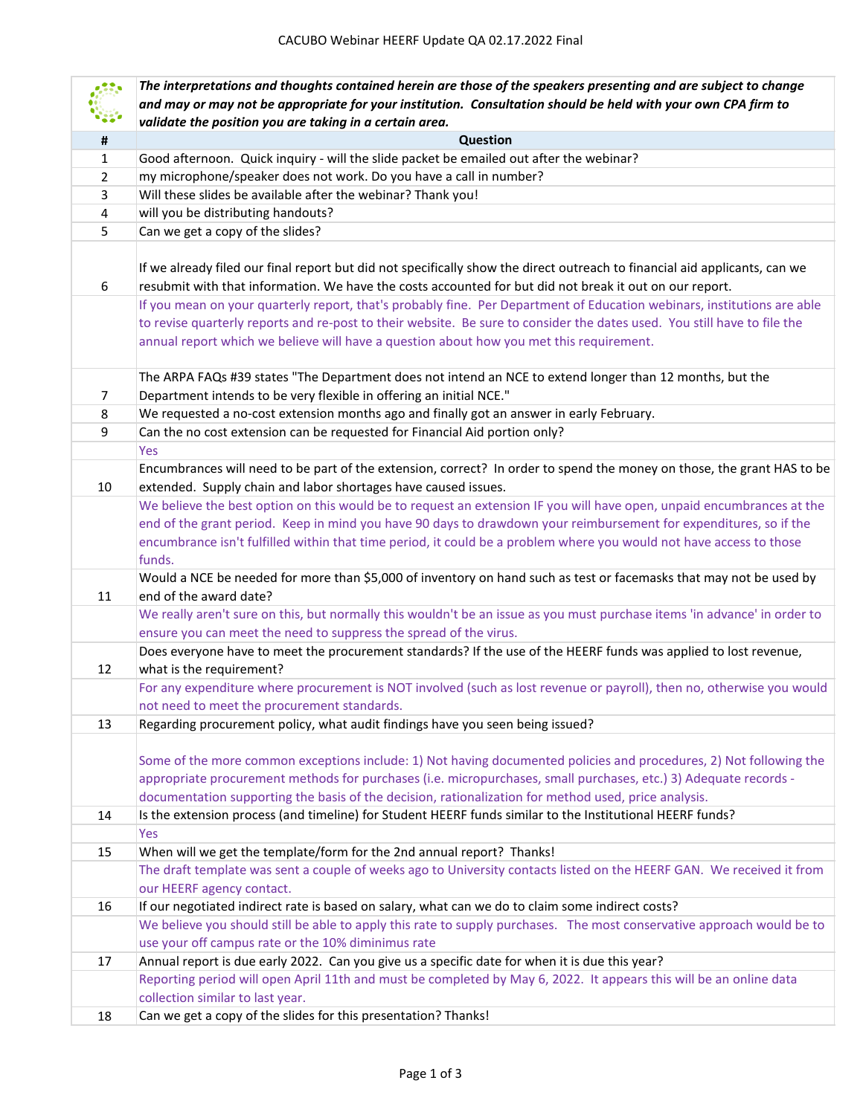| Question<br>$\pmb{\sharp}$<br>$\mathbf{1}$<br>Good afternoon. Quick inquiry - will the slide packet be emailed out after the webinar?<br>my microphone/speaker does not work. Do you have a call in number?<br>2 |  |
|------------------------------------------------------------------------------------------------------------------------------------------------------------------------------------------------------------------|--|
|                                                                                                                                                                                                                  |  |
|                                                                                                                                                                                                                  |  |
|                                                                                                                                                                                                                  |  |
| Will these slides be available after the webinar? Thank you!<br>3                                                                                                                                                |  |
| will you be distributing handouts?<br>4                                                                                                                                                                          |  |
| 5<br>Can we get a copy of the slides?                                                                                                                                                                            |  |
|                                                                                                                                                                                                                  |  |
| If we already filed our final report but did not specifically show the direct outreach to financial aid applicants, can we                                                                                       |  |
| resubmit with that information. We have the costs accounted for but did not break it out on our report.<br>6                                                                                                     |  |
| If you mean on your quarterly report, that's probably fine. Per Department of Education webinars, institutions are able                                                                                          |  |
| to revise quarterly reports and re-post to their website. Be sure to consider the dates used. You still have to file the                                                                                         |  |
| annual report which we believe will have a question about how you met this requirement.                                                                                                                          |  |
| The ARPA FAQs #39 states "The Department does not intend an NCE to extend longer than 12 months, but the                                                                                                         |  |
| Department intends to be very flexible in offering an initial NCE."<br>7                                                                                                                                         |  |
| We requested a no-cost extension months ago and finally got an answer in early February.<br>8                                                                                                                    |  |
| Can the no cost extension can be requested for Financial Aid portion only?<br>9                                                                                                                                  |  |
| Yes                                                                                                                                                                                                              |  |
| Encumbrances will need to be part of the extension, correct? In order to spend the money on those, the grant HAS to be                                                                                           |  |
| 10<br>extended. Supply chain and labor shortages have caused issues.                                                                                                                                             |  |
| We believe the best option on this would be to request an extension IF you will have open, unpaid encumbrances at the                                                                                            |  |
| end of the grant period. Keep in mind you have 90 days to drawdown your reimbursement for expenditures, so if the                                                                                                |  |
| encumbrance isn't fulfilled within that time period, it could be a problem where you would not have access to those                                                                                              |  |
| funds.                                                                                                                                                                                                           |  |
| Would a NCE be needed for more than \$5,000 of inventory on hand such as test or facemasks that may not be used by<br>11<br>end of the award date?                                                               |  |
| We really aren't sure on this, but normally this wouldn't be an issue as you must purchase items 'in advance' in order to                                                                                        |  |
| ensure you can meet the need to suppress the spread of the virus.                                                                                                                                                |  |
| Does everyone have to meet the procurement standards? If the use of the HEERF funds was applied to lost revenue,                                                                                                 |  |
| what is the requirement?<br>12                                                                                                                                                                                   |  |
| For any expenditure where procurement is NOT involved (such as lost revenue or payroll), then no, otherwise you would                                                                                            |  |
| not need to meet the procurement standards.                                                                                                                                                                      |  |
| Regarding procurement policy, what audit findings have you seen being issued?<br>13                                                                                                                              |  |
|                                                                                                                                                                                                                  |  |
| Some of the more common exceptions include: 1) Not having documented policies and procedures, 2) Not following the                                                                                               |  |
| appropriate procurement methods for purchases (i.e. micropurchases, small purchases, etc.) 3) Adequate records -                                                                                                 |  |
| documentation supporting the basis of the decision, rationalization for method used, price analysis.<br>14                                                                                                       |  |
| Is the extension process (and timeline) for Student HEERF funds similar to the Institutional HEERF funds?<br>Yes                                                                                                 |  |
| When will we get the template/form for the 2nd annual report? Thanks!<br>15                                                                                                                                      |  |
| The draft template was sent a couple of weeks ago to University contacts listed on the HEERF GAN. We received it from                                                                                            |  |
| our HEERF agency contact.                                                                                                                                                                                        |  |
| If our negotiated indirect rate is based on salary, what can we do to claim some indirect costs?<br>16                                                                                                           |  |
| We believe you should still be able to apply this rate to supply purchases. The most conservative approach would be to                                                                                           |  |
| use your off campus rate or the 10% diminimus rate                                                                                                                                                               |  |
| Annual report is due early 2022. Can you give us a specific date for when it is due this year?<br>17                                                                                                             |  |
| Reporting period will open April 11th and must be completed by May 6, 2022. It appears this will be an online data                                                                                               |  |
| collection similar to last year.                                                                                                                                                                                 |  |
| Can we get a copy of the slides for this presentation? Thanks!<br>18                                                                                                                                             |  |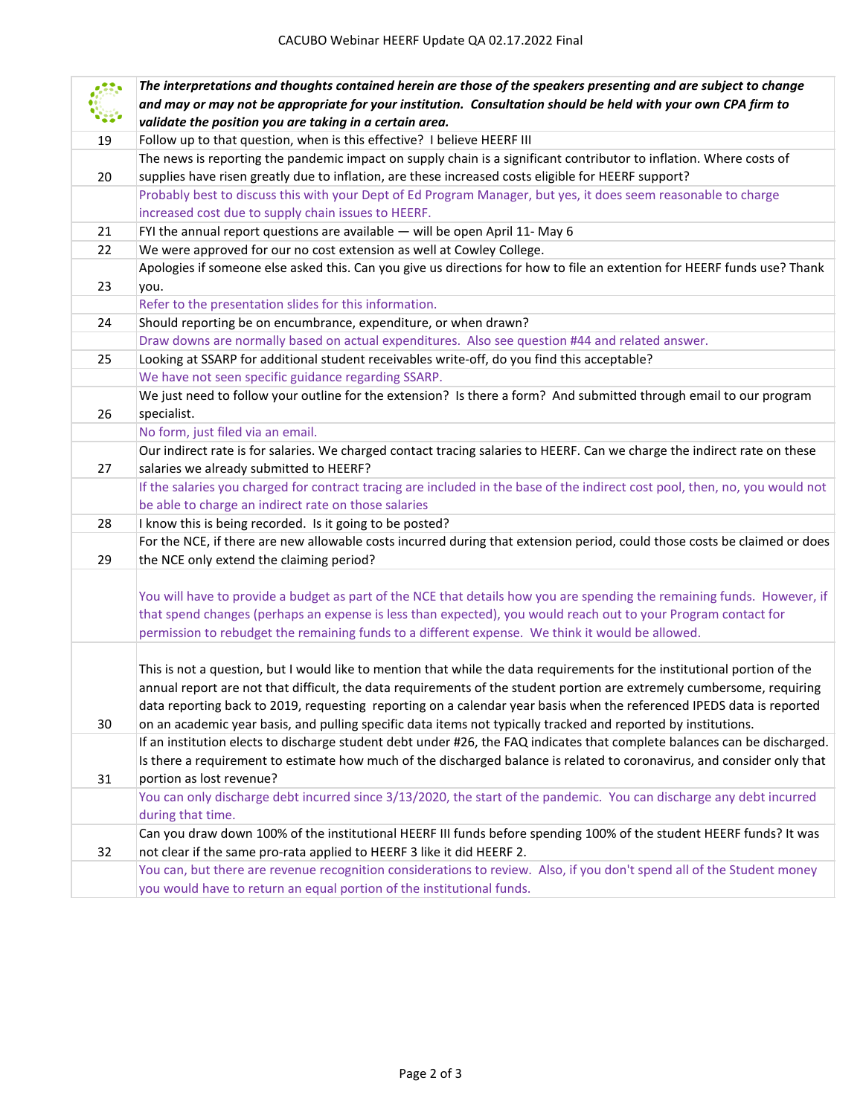|    | The interpretations and thoughts contained herein are those of the speakers presenting and are subject to change             |
|----|------------------------------------------------------------------------------------------------------------------------------|
|    | and may or may not be appropriate for your institution. Consultation should be held with your own CPA firm to                |
|    | validate the position you are taking in a certain area.                                                                      |
| 19 | Follow up to that question, when is this effective? I believe HEERF III                                                      |
|    | The news is reporting the pandemic impact on supply chain is a significant contributor to inflation. Where costs of          |
| 20 | supplies have risen greatly due to inflation, are these increased costs eligible for HEERF support?                          |
|    | Probably best to discuss this with your Dept of Ed Program Manager, but yes, it does seem reasonable to charge               |
|    | increased cost due to supply chain issues to HEERF.                                                                          |
| 21 | FYI the annual report questions are available - will be open April 11- May 6                                                 |
| 22 | We were approved for our no cost extension as well at Cowley College.                                                        |
|    | Apologies if someone else asked this. Can you give us directions for how to file an extention for HEERF funds use? Thank     |
| 23 | you.                                                                                                                         |
|    | Refer to the presentation slides for this information.                                                                       |
| 24 | Should reporting be on encumbrance, expenditure, or when drawn?                                                              |
|    | Draw downs are normally based on actual expenditures. Also see question #44 and related answer.                              |
| 25 | Looking at SSARP for additional student receivables write-off, do you find this acceptable?                                  |
|    | We have not seen specific guidance regarding SSARP.                                                                          |
|    | We just need to follow your outline for the extension? Is there a form? And submitted through email to our program           |
| 26 | specialist.                                                                                                                  |
|    | No form, just filed via an email.                                                                                            |
|    | Our indirect rate is for salaries. We charged contact tracing salaries to HEERF. Can we charge the indirect rate on these    |
| 27 | salaries we already submitted to HEERF?                                                                                      |
|    | If the salaries you charged for contract tracing are included in the base of the indirect cost pool, then, no, you would not |
|    | be able to charge an indirect rate on those salaries                                                                         |
| 28 | I know this is being recorded. Is it going to be posted?                                                                     |
|    | For the NCE, if there are new allowable costs incurred during that extension period, could those costs be claimed or does    |
| 29 | the NCE only extend the claiming period?                                                                                     |
|    |                                                                                                                              |
|    | You will have to provide a budget as part of the NCE that details how you are spending the remaining funds. However, if      |
|    | that spend changes (perhaps an expense is less than expected), you would reach out to your Program contact for               |
|    | permission to rebudget the remaining funds to a different expense. We think it would be allowed.                             |
|    | This is not a question, but I would like to mention that while the data requirements for the institutional portion of the    |
|    | annual report are not that difficult, the data requirements of the student portion are extremely cumbersome, requiring       |
|    | data reporting back to 2019, requesting reporting on a calendar year basis when the referenced IPEDS data is reported        |
| 30 | on an academic year basis, and pulling specific data items not typically tracked and reported by institutions.               |
|    | If an institution elects to discharge student debt under #26, the FAQ indicates that complete balances can be discharged.    |
|    | Is there a requirement to estimate how much of the discharged balance is related to coronavirus, and consider only that      |
| 31 | portion as lost revenue?                                                                                                     |
|    | You can only discharge debt incurred since 3/13/2020, the start of the pandemic. You can discharge any debt incurred         |
|    | during that time.                                                                                                            |
|    | Can you draw down 100% of the institutional HEERF III funds before spending 100% of the student HEERF funds? It was          |
| 32 | not clear if the same pro-rata applied to HEERF 3 like it did HEERF 2.                                                       |
|    | You can, but there are revenue recognition considerations to review. Also, if you don't spend all of the Student money       |
|    | you would have to return an equal portion of the institutional funds.                                                        |
|    |                                                                                                                              |